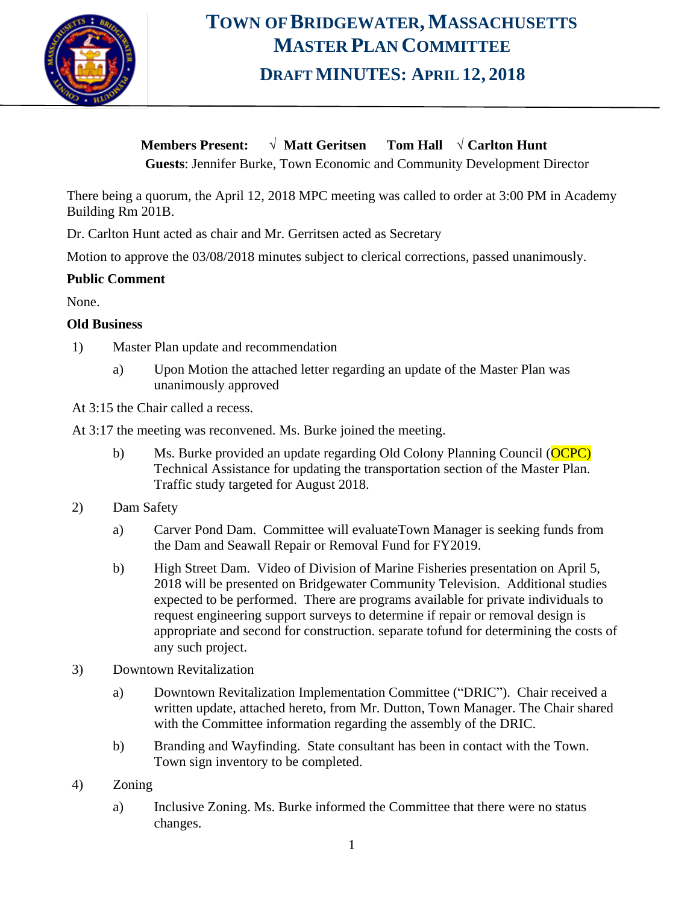

# **TOWN OF BRIDGEWATER, MASSACHUSETTS MASTER PLAN COMMITTEE DRAFT MINUTES: APRIL 12, 2018**

**Members Present:** √ **Matt Geritsen Tom Hall** √ **Carlton Hunt**

**Guests**: Jennifer Burke, Town Economic and Community Development Director

There being a quorum, the April 12, 2018 MPC meeting was called to order at 3:00 PM in Academy Building Rm 201B.

Dr. Carlton Hunt acted as chair and Mr. Gerritsen acted as Secretary

Motion to approve the 03/08/2018 minutes subject to clerical corrections, passed unanimously.

#### **Public Comment**

None.

#### **Old Business**

- 1) Master Plan update and recommendation
	- a) Upon Motion the attached letter regarding an update of the Master Plan was unanimously approved

At 3:15 the Chair called a recess.

- At 3:17 the meeting was reconvened. Ms. Burke joined the meeting.
	- b) Ms. Burke provided an update regarding Old Colony Planning Council (OCPC) Technical Assistance for updating the transportation section of the Master Plan. Traffic study targeted for August 2018.
- 2) Dam Safety
	- a) Carver Pond Dam. Committee will evaluateTown Manager is seeking funds from the Dam and Seawall Repair or Removal Fund for FY2019.
	- b) High Street Dam. Video of Division of Marine Fisheries presentation on April 5, 2018 will be presented on Bridgewater Community Television. Additional studies expected to be performed. There are programs available for private individuals to request engineering support surveys to determine if repair or removal design is appropriate and second for construction. separate tofund for determining the costs of any such project.
- 3) Downtown Revitalization
	- a) Downtown Revitalization Implementation Committee ("DRIC"). Chair received a written update, attached hereto, from Mr. Dutton, Town Manager. The Chair shared with the Committee information regarding the assembly of the DRIC.
	- b) Branding and Wayfinding. State consultant has been in contact with the Town. Town sign inventory to be completed.
- 4) Zoning
	- a) Inclusive Zoning. Ms. Burke informed the Committee that there were no status changes.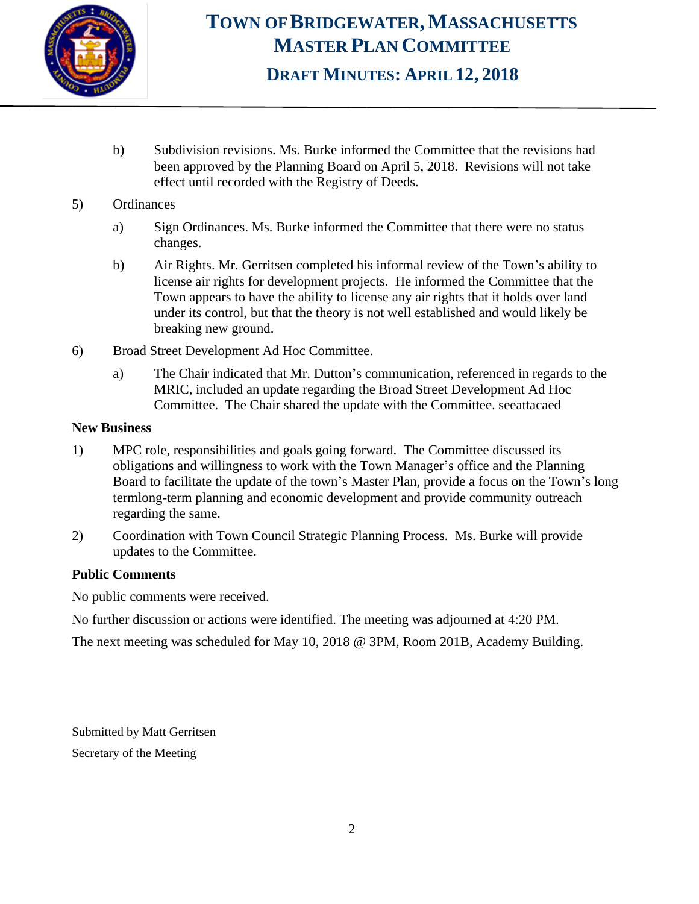

## **TOWN OF BRIDGEWATER, MASSACHUSETTS MASTER PLAN COMMITTEE DRAFT MINUTES: APRIL 12, 2018**

- b) Subdivision revisions. Ms. Burke informed the Committee that the revisions had been approved by the Planning Board on April 5, 2018. Revisions will not take effect until recorded with the Registry of Deeds.
- 5) Ordinances
	- a) Sign Ordinances. Ms. Burke informed the Committee that there were no status changes.
	- b) Air Rights. Mr. Gerritsen completed his informal review of the Town's ability to license air rights for development projects. He informed the Committee that the Town appears to have the ability to license any air rights that it holds over land under its control, but that the theory is not well established and would likely be breaking new ground.
- 6) Broad Street Development Ad Hoc Committee.
	- a) The Chair indicated that Mr. Dutton's communication, referenced in regards to the MRIC, included an update regarding the Broad Street Development Ad Hoc Committee. The Chair shared the update with the Committee. seeattacaed

### **New Business**

- 1) MPC role, responsibilities and goals going forward. The Committee discussed its obligations and willingness to work with the Town Manager's office and the Planning Board to facilitate the update of the town's Master Plan, provide a focus on the Town's long termlong-term planning and economic development and provide community outreach regarding the same.
- 2) Coordination with Town Council Strategic Planning Process. Ms. Burke will provide updates to the Committee.

### **Public Comments**

No public comments were received.

No further discussion or actions were identified. The meeting was adjourned at 4:20 PM.

The next meeting was scheduled for May 10, 2018 @ 3PM, Room 201B, Academy Building.

Submitted by Matt Gerritsen Secretary of the Meeting